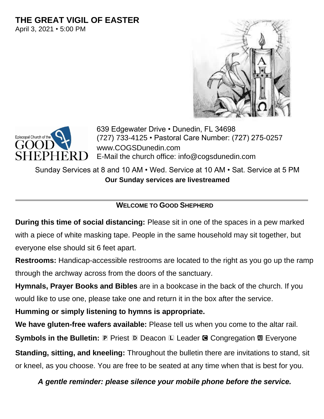# **THE GREAT VIGIL OF EASTER**

April 3, 2021 • 5:00 PM





639 Edgewater Drive • Dunedin, FL 34698 (727) 733-4125 • Pastoral Care Number: (727) 275-0257 www.COGSDunedin.com E-Mail the church office: info@cogsdunedin.com

Sunday Services at 8 and 10 AM • Wed. Service at 10 AM • Sat. Service at 5 PM **Our Sunday services are livestreamed**

## **WELCOME TO GOOD SHEPHERD**

**During this time of social distancing:** Please sit in one of the spaces in a pew marked with a piece of white masking tape. People in the same household may sit together, but everyone else should sit 6 feet apart.

**Restrooms:** Handicap-accessible restrooms are located to the right as you go up the ramp through the archway across from the doors of the sanctuary.

**Hymnals, Prayer Books and Bibles** are in a bookcase in the back of the church. If you would like to use one, please take one and return it in the box after the service.

**Humming or simply listening to hymns is appropriate.**

**We have gluten-free wafers available:** Please tell us when you come to the altar rail.

**Symbols in the Bulletin: P Priest D Deacon L Leader <b>G** Congregation **M** Everyone

**Standing, sitting, and kneeling:** Throughout the bulletin there are invitations to stand, sit or kneel, as you choose. You are free to be seated at any time when that is best for you.

*A gentle reminder: please silence your mobile phone before the service.*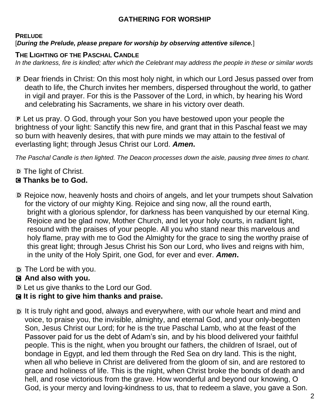## **GATHERING FOR WORSHIP**

#### **PRELUDE**

#### [*During the Prelude, please prepare for worship by observing attentive silence.*]

### **THE LIGHTING OF THE PASCHAL CANDLE**

In the darkness, fire is kindled; after which the Celebrant may address the people in these or similar words

P Dear friends in Christ: On this most holy night, in which our Lord Jesus passed over from death to life, the Church invites her members, dispersed throughout the world, to gather in vigil and prayer. For this is the Passover of the Lord, in which, by hearing his Word and celebrating his Sacraments, we share in his victory over death.

P Let us pray. O God, through your Son you have bestowed upon your people the brightness of your light: Sanctify this new fire, and grant that in this Paschal feast we may so burn with heavenly desires, that with pure minds we may attain to the festival of everlasting light; through Jesus Christ our Lord. *Amen***.**

*The Paschal Candle is then lighted. The Deacon processes down the aisle, pausing three times to chant.* 

#### D The light of Christ. C **Thanks be to God.**

- D Rejoice now, heavenly hosts and choirs of angels, and let your trumpets shout Salvation for the victory of our mighty King. Rejoice and sing now, all the round earth, bright with a glorious splendor, for darkness has been vanquished by our eternal King. Rejoice and be glad now, Mother Church, and let your holy courts, in radiant light, resound with the praises of your people. All you who stand near this marvelous and holy flame, pray with me to God the Almighty for the grace to sing the worthy praise of this great light; through Jesus Christ his Son our Lord, who lives and reigns with him, in the unity of the Holy Spirit, one God, for ever and ever. *Amen***.**
- D The Lord be with you.
- C **And also with you.**
- D Let us give thanks to the Lord our God.

### C **It is right to give him thanks and praise.**

D It is truly right and good, always and everywhere, with our whole heart and mind and voice, to praise you, the invisible, almighty, and eternal God, and your only-begotten Son, Jesus Christ our Lord; for he is the true Paschal Lamb, who at the feast of the Passover paid for us the debt of Adam's sin, and by his blood delivered your faithful people. This is the night, when you brought our fathers, the children of Israel, out of bondage in Egypt, and led them through the Red Sea on dry land. This is the night, when all who believe in Christ are delivered from the gloom of sin, and are restored to grace and holiness of life. This is the night, when Christ broke the bonds of death and hell, and rose victorious from the grave. How wonderful and beyond our knowing, O God, is your mercy and loving-kindness to us, that to redeem a slave, you gave a Son.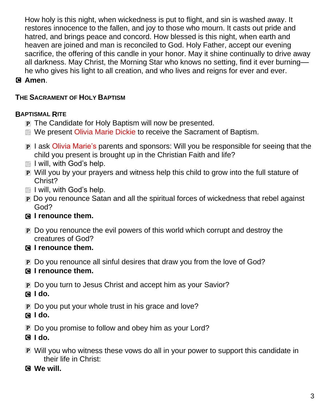How holy is this night, when wickedness is put to flight, and sin is washed away. It restores innocence to the fallen, and joy to those who mourn. It casts out pride and hatred, and brings peace and concord. How blessed is this night, when earth and heaven are joined and man is reconciled to God. Holy Father, accept our evening sacrifice, the offering of this candle in your honor. May it shine continually to drive away all darkness. May Christ, the Morning Star who knows no setting, find it ever burning he who gives his light to all creation, and who lives and reigns for ever and ever.

C **Amen**.

## **THE SACRAMENT OF HOLY BAPTISM**

## **BAPTISMAL RITE**

- **P** The Candidate for Holy Baptism will now be presented.
- **R** We present Olivia Marie Dickie to receive the Sacrament of Baptism.
- P I ask Olivia Marie's parents and sponsors: Will you be responsible for seeing that the child you present is brought up in the Christian Faith and life?
- $\mathbb R$  I will, with God's help.
- P Will you by your prayers and witness help this child to grow into the full stature of Christ?
- $\mathbb B$  I will, with God's help.
- P Do you renounce Satan and all the spiritual forces of wickedness that rebel against God?

# C **I renounce them.**

P Do you renounce the evil powers of this world which corrupt and destroy the creatures of God?

# C **I renounce them.**

P Do you renounce all sinful desires that draw you from the love of God?

# C **I renounce them.**

P Do you turn to Jesus Christ and accept him as your Savior?

C **I do.**

P Do you put your whole trust in his grace and love?

# C **I do.**

P Do you promise to follow and obey him as your Lord?

C **I do.**

- P Will you who witness these vows do all in your power to support this candidate in their life in Christ:
- C **We will.**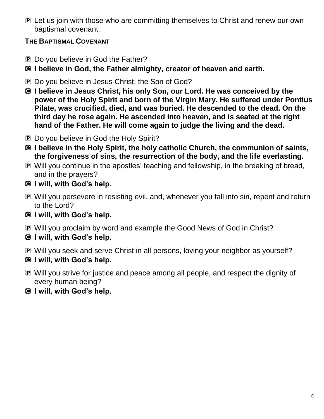P Let us join with those who are committing themselves to Christ and renew our own baptismal covenant.

# **THE BAPTISMAL COVENANT**

- P Do you believe in God the Father?
- C **I believe in God, the Father almighty, creator of heaven and earth.**
- P Do you believe in Jesus Christ, the Son of God?
- C **I believe in Jesus Christ, his only Son, our Lord. He was conceived by the power of the Holy Spirit and born of the Virgin Mary. He suffered under Pontius Pilate, was crucified, died, and was buried. He descended to the dead. On the third day he rose again. He ascended into heaven, and is seated at the right hand of the Father. He will come again to judge the living and the dead.**
- P Do you believe in God the Holy Spirit?
- C **I believe in the Holy Spirit, the holy catholic Church, the communion of saints, the forgiveness of sins, the resurrection of the body, and the life everlasting.**
- P Will you continue in the apostles' teaching and fellowship, in the breaking of bread, and in the prayers?
- C **I will, with God's help.**
- P Will you persevere in resisting evil, and, whenever you fall into sin, repent and return to the Lord?
- C **I will, with God's help.**
- P Will you proclaim by word and example the Good News of God in Christ?
- C **I will, with God's help.**
- P Will you seek and serve Christ in all persons, loving your neighbor as yourself?
- C **I will, with God's help.**
- P Will you strive for justice and peace among all people, and respect the dignity of every human being?
- C **I will, with God's help.**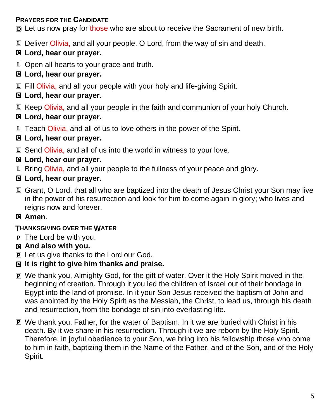## **PRAYERS FOR THE CANDIDATE**

D Let us now pray for those who are about to receive the Sacrament of new birth.

- L Deliver Olivia, and all your people, O Lord, from the way of sin and death.
- C **Lord, hear our prayer.**
- L Open all hearts to your grace and truth.
- C **Lord, hear our prayer.**
- L Fill Olivia, and all your people with your holy and life-giving Spirit.
- C **Lord, hear our prayer.**
- L Keep Olivia, and all your people in the faith and communion of your holy Church.
- C **Lord, hear our prayer.**
- **L** Teach Olivia, and all of us to love others in the power of the Spirit.
- C **Lord, hear our prayer.**
- L Send Olivia, and all of us into the world in witness to your love.
- C **Lord, hear our prayer.**
- L Bring Olivia, and all your people to the fullness of your peace and glory.
- C **Lord, hear our prayer.**
- L Grant, O Lord, that all who are baptized into the death of Jesus Christ your Son may live in the power of his resurrection and look for him to come again in glory; who lives and reigns now and forever.
- C **Amen**.

# **THANKSGIVING OVER THE WATER**

- $\overline{p}$  The Lord be with you.
- C **And also with you.**
- **P** Let us give thanks to the Lord our God.

# C **It is right to give him thanks and praise.**

- P We thank you, Almighty God, for the gift of water. Over it the Holy Spirit moved in the beginning of creation. Through it you led the children of Israel out of their bondage in Egypt into the land of promise. In it your Son Jesus received the baptism of John and was anointed by the Holy Spirit as the Messiah, the Christ, to lead us, through his death and resurrection, from the bondage of sin into everlasting life.
- P We thank you, Father, for the water of Baptism. In it we are buried with Christ in his death. By it we share in his resurrection. Through it we are reborn by the Holy Spirit. Therefore, in joyful obedience to your Son, we bring into his fellowship those who come to him in faith, baptizing them in the Name of the Father, and of the Son, and of the Holy Spirit.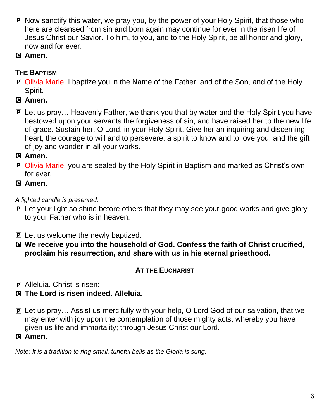- P Now sanctify this water, we pray you, by the power of your Holy Spirit, that those who here are cleansed from sin and born again may continue for ever in the risen life of Jesus Christ our Savior. To him, to you, and to the Holy Spirit, be all honor and glory, now and for ever.
- C **Amen.**

# **THE BAPTISM**

- **P** Olivia Marie, I baptize you in the Name of the Father, and of the Son, and of the Holy Spirit.
- C **Amen.**
- **P** Let us pray... Heavenly Father, we thank you that by water and the Holy Spirit you have bestowed upon your servants the forgiveness of sin, and have raised her to the new life of grace. Sustain her, O Lord, in your Holy Spirit. Give her an inquiring and discerning heart, the courage to will and to persevere, a spirit to know and to love you, and the gift of joy and wonder in all your works.
- C **Amen.**
- **P** Olivia Marie, you are sealed by the Holy Spirit in Baptism and marked as Christ's own for ever.
- C **Amen.**

*A lighted candle is presented.*

- P Let your light so shine before others that they may see your good works and give glory to your Father who is in heaven.
- **P** Let us welcome the newly baptized.
- C **We receive you into the household of God. Confess the faith of Christ crucified, proclaim his resurrection, and share with us in his eternal priesthood.**

# **AT THE EUCHARIST**

- P Alleluia. Christ is risen:
- C **The Lord is risen indeed. Alleluia.**
- P Let us pray… Assist us mercifully with your help, O Lord God of our salvation, that we may enter with joy upon the contemplation of those mighty acts, whereby you have given us life and immortality; through Jesus Christ our Lord.
- C **Amen.**

*Note: It is a tradition to ring small, tuneful bells as the Gloria is sung.*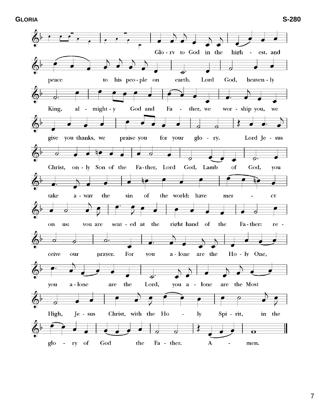**GLORIA S-280**

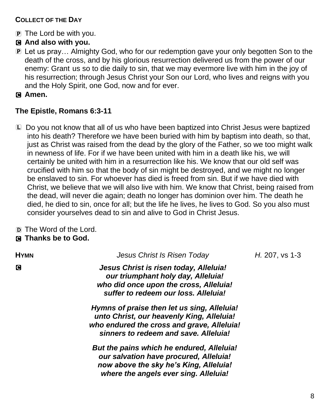## **COLLECT OF THE DAY**

P The Lord be with you.

## C **And also with you.**

- P Let us pray… Almighty God, who for our redemption gave your only begotten Son to the death of the cross, and by his glorious resurrection delivered us from the power of our enemy: Grant us so to die daily to sin, that we may evermore live with him in the joy of his resurrection; through Jesus Christ your Son our Lord, who lives and reigns with you and the Holy Spirit, one God, now and for ever.
- C **Amen.**

## **The Epistle, Romans 6:3-11**

- L Do you not know that all of us who have been baptized into Christ Jesus were baptized into his death? Therefore we have been buried with him by baptism into death, so that, just as Christ was raised from the dead by the glory of the Father, so we too might walk in newness of life. For if we have been united with him in a death like his, we will certainly be united with him in a resurrection like his. We know that our old self was crucified with him so that the body of sin might be destroyed, and we might no longer be enslaved to sin. For whoever has died is freed from sin. But if we have died with Christ, we believe that we will also live with him. We know that Christ, being raised from the dead, will never die again; death no longer has dominion over him. The death he died, he died to sin, once for all; but the life he lives, he lives to God. So you also must consider yourselves dead to sin and alive to God in Christ Jesus.
- D The Word of the Lord.

### C **Thanks be to God.**

| <b>HYMN</b> | <b>Jesus Christ Is Risen Today</b>                                                                                                                                              | $H. 207$ , vs 1-3 |
|-------------|---------------------------------------------------------------------------------------------------------------------------------------------------------------------------------|-------------------|
| C           | Jesus Christ is risen today, Alleluia!<br>our triumphant holy day, Alleluia!<br>who did once upon the cross, Alleluia!<br>suffer to redeem our loss. Alleluia!                  |                   |
|             | Hymns of praise then let us sing, Alleluia!<br>unto Christ, our heavenly King, Alleluia!<br>who endured the cross and grave, Alleluia!<br>sinners to redeem and save. Alleluia! |                   |
|             | But the pains which he endured, Alleluia!<br>our salvation have procured, Alleluia!<br>now above the sky he's King, Alleluia!<br>where the angels ever sing. Alleluia!          |                   |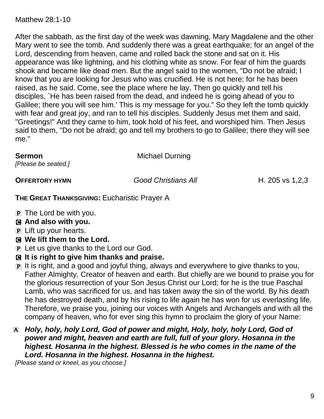## Matthew 28:1-10

After the sabbath, as the first day of the week was dawning, Mary Magdalene and the other Mary went to see the tomb. And suddenly there was a great earthquake; for an angel of the Lord, descending from heaven, came and rolled back the stone and sat on it. His appearance was like lightning, and his clothing white as snow. For fear of him the guards shook and became like dead men. But the angel said to the women, "Do not be afraid; I know that you are looking for Jesus who was crucified. He is not here; for he has been raised, as he said. Come, see the place where he lay. Then go quickly and tell his disciples, `He has been raised from the dead, and indeed he is going ahead of you to Galilee; there you will see him.' This is my message for you." So they left the tomb quickly with fear and great joy, and ran to tell his disciples. Suddenly Jesus met them and said, "Greetings!" And they came to him, took hold of his feet, and worshiped him. Then Jesus said to them, "Do not be afraid; go and tell my brothers to go to Galilee; there they will see me."

**Sermon** Michael Durning

*[Please be seated.]*

**OFFERTORY HYMN** *Good Christians All* **H.** 205 vs 1,2,3

**THE GREAT THANKSGIVING:** Eucharistic Prayer A

- $\mathbf{P}$  The Lord be with you.
- C **And also with you.**
- P Lift up your hearts.
- C **We lift them to the Lord.**
- P Let us give thanks to the Lord our God.
- C **It is right to give him thanks and praise.**
- P It is right, and a good and joyful thing, always and everywhere to give thanks to you, Father Almighty, Creator of heaven and earth. But chiefly are we bound to praise you for the glorious resurrection of your Son Jesus Christ our Lord; for he is the true Paschal Lamb, who was sacrificed for us, and has taken away the sin of the world. By his death he has destroyed death, and by his rising to life again he has won for us everlasting life. Therefore, we praise you, joining our voices with Angels and Archangels and with all the company of heaven, who for ever sing this hymn to proclaim the glory of your Name:
- A *Holy, holy, holy Lord, God of power and might, Holy, holy, holy Lord, God of power and might, heaven and earth are full, full of your glory. Hosanna in the highest. Hosanna in the highest. Blessed is he who comes in the name of the Lord. Hosanna in the highest. Hosanna in the highest.*

*[Please stand or kneel, as you choose.]*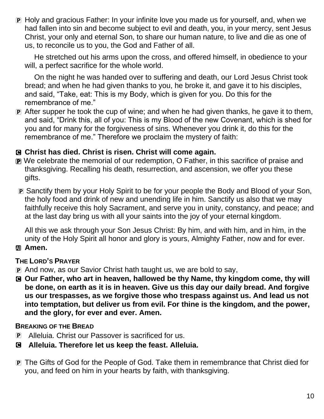P Holy and gracious Father: In your infinite love you made us for yourself, and, when we had fallen into sin and become subject to evil and death, you, in your mercy, sent Jesus Christ, your only and eternal Son, to share our human nature, to live and die as one of us, to reconcile us to you, the God and Father of all.

He stretched out his arms upon the cross, and offered himself, in obedience to your will, a perfect sacrifice for the whole world.

On the night he was handed over to suffering and death, our Lord Jesus Christ took bread; and when he had given thanks to you, he broke it, and gave it to his disciples, and said, "Take, eat: This is my Body, which is given for you. Do this for the remembrance of me."

P After supper he took the cup of wine; and when he had given thanks, he gave it to them, and said, "Drink this, all of you: This is my Blood of the new Covenant, which is shed for you and for many for the forgiveness of sins. Whenever you drink it, do this for the remembrance of me." Therefore we proclaim the mystery of faith:

## C **Christ has died. Christ is risen. Christ will come again.**

- P We celebrate the memorial of our redemption, O Father, in this sacrifice of praise and thanksgiving. Recalling his death, resurrection, and ascension, we offer you these gifts.
- P Sanctify them by your Holy Spirit to be for your people the Body and Blood of your Son, the holy food and drink of new and unending life in him. Sanctify us also that we may faithfully receive this holy Sacrament, and serve you in unity, constancy, and peace; and at the last day bring us with all your saints into the joy of your eternal kingdom.

All this we ask through your Son Jesus Christ: By him, and with him, and in him, in the unity of the Holy Spirit all honor and glory is yours, Almighty Father, now and for ever.

## **Amen.**

## **THE LORD'S PRAYER**

- P And now, as our Savior Christ hath taught us, we are bold to say,
- C **Our Father, who art in heaven, hallowed be thy Name, thy kingdom come, thy will be done, on earth as it is in heaven. Give us this day our daily bread. And forgive us our trespasses, as we forgive those who trespass against us. And lead us not into temptation, but deliver us from evil. For thine is the kingdom, and the power, and the glory, for ever and ever. Amen.**

### **BREAKING OF THE BREAD**

- P Alleluia. Christ our Passover is sacrificed for us.
- C **Alleluia. Therefore let us keep the feast. Alleluia.**
- P The Gifts of God for the People of God. Take them in remembrance that Christ died for you, and feed on him in your hearts by faith, with thanksgiving.